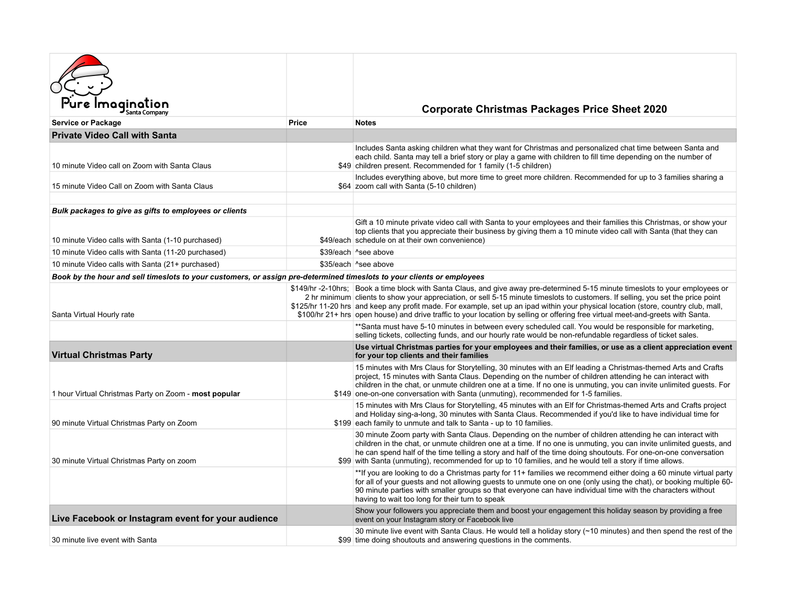| Imagination                                                                                                            |              | <b>Corporate Christmas Packages Price Sheet 2020</b>                                                                                                                                                                                                                                                                                                                                                                                                                                                                                       |  |
|------------------------------------------------------------------------------------------------------------------------|--------------|--------------------------------------------------------------------------------------------------------------------------------------------------------------------------------------------------------------------------------------------------------------------------------------------------------------------------------------------------------------------------------------------------------------------------------------------------------------------------------------------------------------------------------------------|--|
| Service or Package                                                                                                     | <b>Price</b> | <b>Notes</b>                                                                                                                                                                                                                                                                                                                                                                                                                                                                                                                               |  |
| <b>Private Video Call with Santa</b>                                                                                   |              |                                                                                                                                                                                                                                                                                                                                                                                                                                                                                                                                            |  |
| 10 minute Video call on Zoom with Santa Claus                                                                          |              | Includes Santa asking children what they want for Christmas and personalized chat time between Santa and<br>each child. Santa may tell a brief story or play a game with children to fill time depending on the number of<br>\$49 children present. Recommended for 1 family (1-5 children)                                                                                                                                                                                                                                                |  |
| 15 minute Video Call on Zoom with Santa Claus                                                                          |              | Includes everything above, but more time to greet more children. Recommended for up to 3 families sharing a<br>\$64 zoom call with Santa (5-10 children)                                                                                                                                                                                                                                                                                                                                                                                   |  |
| Bulk packages to give as gifts to employees or clients                                                                 |              |                                                                                                                                                                                                                                                                                                                                                                                                                                                                                                                                            |  |
| 10 minute Video calls with Santa (1-10 purchased)                                                                      |              | Gift a 10 minute private video call with Santa to your employees and their families this Christmas, or show your<br>top clients that you appreciate their business by giving them a 10 minute video call with Santa (that they can<br>\$49/each schedule on at their own convenience)                                                                                                                                                                                                                                                      |  |
| 10 minute Video calls with Santa (11-20 purchased)                                                                     |              | \$39/each ^see above                                                                                                                                                                                                                                                                                                                                                                                                                                                                                                                       |  |
| 10 minute Video calls with Santa (21+ purchased)                                                                       |              | \$35/each ^see above                                                                                                                                                                                                                                                                                                                                                                                                                                                                                                                       |  |
| Book by the hour and sell timeslots to your customers, or assign pre-determined timeslots to your clients or employees |              |                                                                                                                                                                                                                                                                                                                                                                                                                                                                                                                                            |  |
| Santa Virtual Hourly rate                                                                                              |              | \$149/hr -2-10hrs; Book a time block with Santa Claus, and give away pre-determined 5-15 minute timeslots to your employees or<br>2 hr minimum clients to show your appreciation, or sell 5-15 minute timeslots to customers. If selling, you set the price point<br>\$125/hr 11-20 hrs and keep any profit made. For example, set up an ipad within your physical location (store, country club, mall,<br>\$100/hr 21+ hrs open house) and drive traffic to your location by selling or offering free virtual meet-and-greets with Santa. |  |
|                                                                                                                        |              | **Santa must have 5-10 minutes in between every scheduled call. You would be responsible for marketing,<br>selling tickets, collecting funds, and our hourly rate would be non-refundable regardless of ticket sales.                                                                                                                                                                                                                                                                                                                      |  |
| <b>Virtual Christmas Party</b>                                                                                         |              | Use virtual Christmas parties for your employees and their families, or use as a client appreciation event<br>for your top clients and their families                                                                                                                                                                                                                                                                                                                                                                                      |  |
| 1 hour Virtual Christmas Party on Zoom - most popular                                                                  |              | 15 minutes with Mrs Claus for Storytelling, 30 minutes with an Elf leading a Christmas-themed Arts and Crafts<br>project, 15 minutes with Santa Claus. Depending on the number of children attending he can interact with<br>children in the chat, or unmute children one at a time. If no one is unmuting, you can invite unlimited guests. For<br>\$149 one-on-one conversation with Santa (unmuting), recommended for 1-5 families.                                                                                                     |  |
| 90 minute Virtual Christmas Party on Zoom                                                                              |              | 15 minutes with Mrs Claus for Storytelling, 45 minutes with an Elf for Christmas-themed Arts and Crafts project<br>and Holiday sing-a-long, 30 minutes with Santa Claus. Recommended if you'd like to have individual time for<br>\$199 each family to unmute and talk to Santa - up to 10 families.                                                                                                                                                                                                                                       |  |
| 30 minute Virtual Christmas Party on zoom                                                                              |              | 30 minute Zoom party with Santa Claus. Depending on the number of children attending he can interact with<br>children in the chat, or unmute children one at a time. If no one is unmuting, you can invite unlimited quests, and<br>he can spend half of the time telling a story and half of the time doing shoutouts. For one-on-one conversation<br>\$99 with Santa (unmuting), recommended for up to 10 families, and he would tell a story if time allows.                                                                            |  |
|                                                                                                                        |              | **If you are looking to do a Christmas party for 11+ families we recommend either doing a 60 minute virtual party<br>for all of your guests and not allowing guests to unmute one on one (only using the chat), or booking multiple 60-<br>90 minute parties with smaller groups so that everyone can have individual time with the characters without<br>having to wait too long for their turn to speak                                                                                                                                  |  |
| Live Facebook or Instagram event for your audience                                                                     |              | Show your followers you appreciate them and boost your engagement this holiday season by providing a free<br>event on your Instagram story or Facebook live                                                                                                                                                                                                                                                                                                                                                                                |  |
| 30 minute live event with Santa                                                                                        |              | 30 minute live event with Santa Claus. He would tell a holiday story (~10 minutes) and then spend the rest of the<br>\$99 time doing shoutouts and answering questions in the comments.                                                                                                                                                                                                                                                                                                                                                    |  |